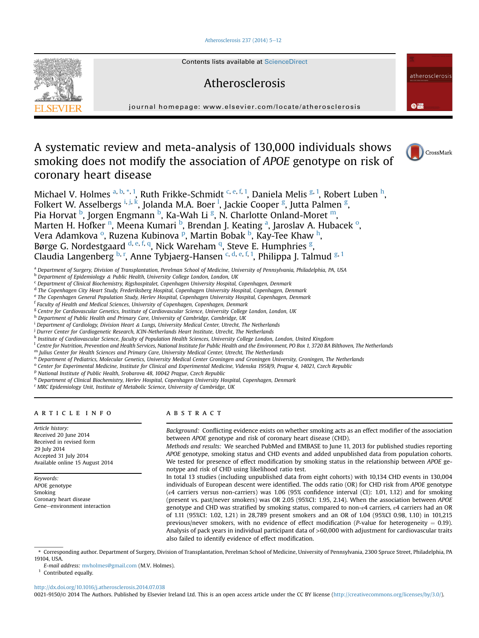#### Atherosclerosis 237 (2014)  $5-12$  $5-12$



Contents lists available at ScienceDirect

## Atherosclerosis

journal homepage: [www.elsevier.com/locate/atherosclerosis](http://www.elsevier.com/locate/atherosclerosis)

# A systematic review and meta-analysis of 130,000 individuals shows smoking does not modify the association of APOE genotype on risk of coronary heart disease



atherosclerosi:

 $\bullet$   $\bullet$ 

Michael V. Holmes <sup>a, b, \*, 1</sup>, Ruth Frikke-Schmidt <sup>c, e, f, 1</sup>, Daniela Melis <sup>g, 1</sup>, Robert Luben <sup>h</sup>, Folkert W. Asselbergs <sup>i, j, k</sup>, Jolanda M.A. Boer <sup>l</sup>, Jackie Cooper <sup>g</sup>, Jutta Palmen <sup>g</sup>, Pia Horvat <sup>b</sup>, Jorgen Engmann <sup>b</sup>, Ka-Wah Li <sup>g</sup>, N. Charlotte Onland-Moret <sup>m</sup>, Marten H. Hofker <sup>n</sup>, Meena Kumari <sup>b</sup>, Brendan J. Keating <sup>a</sup>, Jaroslav A. Hubacek <sup>o</sup>, Vera Adamkova <sup>o</sup>, Ruzena Kubinova <sup>p</sup>, Martin Bobak <sup>b</sup>, Kay-Tee Khaw <sup>h</sup>, Børge G. Nordestgaard <sup>d, e, f, q</sup>, Nick Wareham <sup>q</sup>, Steve E. Humphries <sup>g</sup>, Claudia Langenberg <sup>b, r</sup>, Anne Tybjaerg-Hansen <sup>c, d, e, f, 1</sup>, Philippa J. Talmud <sup>g, 1</sup>

<sup>a</sup> Department of Surgery, Division of Transplantation, Perelman School of Medicine, University of Pennsylvania, Philadelphia, PA, USA

- <sup>b</sup> Department of Epidemiology & Public Health, University College London, London, UK
- <sup>c</sup> Department of Clinical Biochemistry, Rigshospitalet, Copenhagen University Hospital, Copenhagen, Denmark
- <sup>d</sup> The Copenhagen City Heart Study, Frederiksberg Hospital, Copenhagen University Hospital, Copenhagen, Denmark
- <sup>e</sup> The Copenhagen General Population Study, Herlev Hospital, Copenhagen University Hospital, Copenhagen, Denmark
- <sup>f</sup> Faculty of Health and Medical Sciences, University of Copenhagen, Copenhagen, Denmark
- <sup>g</sup> Centre for Cardiovascular Genetics, Institute of Cardiovascular Science, University College London, London, UK
- h Department of Public Health and Primary Care, University of Cambridge, Cambridge, UK
- <sup>i</sup> Department of Cardiology, Division Heart & Lungs, University Medical Center, Utrecht, The Netherlands
- <sup>j</sup> Durrer Center for Cardiogenetic Research, ICIN-Netherlands Heart Institute, Utrecht, The Netherlands
- k Institute of Cardiovascular Science, faculty of Population Health Sciences, University College London, London, United Kingdom
- $^1$  Centre for Nutrition, Prevention and Health Services, National Institute for Public Health and the Environment, PO Box 1, 3720 BA Bilthoven, The Netherlands
- <sup>m</sup> Julius Center for Health Sciences and Primary Care, University Medical Center, Utrecht, The Netherlands
- <sup>n</sup> Department of Pediatrics, Molecular Genetics, University Medical Center Groningen and Groningen University, Groningen, The Netherlands
- <sup>o</sup> Center for Experimental Medicine, Institute for Clinical and Experimental Medicine, Videnska 1958/9, Prague 4, 14021, Czech Republic

<sup>p</sup> National Institute of Public Health, Srobarova 48, 10042 Prague, Czech Republic

<sup>q</sup> Department of Clinical Biochemistry, Herlev Hospital, Copenhagen University Hospital, Copenhagen, Denmark

<sup>r</sup> MRC Epidemiology Unit, Institute of Metabolic Science, University of Cambridge, UK

#### article info

Article history: Received 20 June 2014 Received in revised form 29 July 2014 Accepted 31 July 2014 Available online 15 August 2014

Keywords: APOE genotype Smoking Coronary heart disease Gene-environment interaction

## ABSTRACT

Background: Conflicting evidence exists on whether smoking acts as an effect modifier of the association between APOE genotype and risk of coronary heart disease (CHD).

Methods and results: We searched PubMed and EMBASE to June 11, 2013 for published studies reporting APOE genotype, smoking status and CHD events and added unpublished data from population cohorts. We tested for presence of effect modification by smoking status in the relationship between APOE genotype and risk of CHD using likelihood ratio test.

In total 13 studies (including unpublished data from eight cohorts) with 10,134 CHD events in 130,004 individuals of European descent were identified. The odds ratio (OR) for CHD risk from APOE genotype (ε4 carriers versus non-carriers) was 1.06 (95% confidence interval (CI): 1.01, 1.12) and for smoking (present vs. past/never smokers) was OR 2.05 (95%CI: 1.95, 2.14). When the association between APOE genotype and CHD was stratified by smoking status, compared to non-ε4 carriers, ε4 carriers had an OR of 1.11 (95%CI: 1.02, 1.21) in 28,789 present smokers and an OR of 1.04 (95%CI 0.98, 1.10) in 101,215 previous/never smokers, with no evidence of effect modification (*P*-value for heterogeneity  $= 0.19$ ). Analysis of pack years in individual participant data of >60,000 with adjustment for cardiovascular traits also failed to identify evidence of effect modification.

\* Corresponding author. Department of Surgery, Division of Transplantation, Perelman School of Medicine, University of Pennsylvania, 2300 Spruce Street, Philadelphia, PA 19104, USA.

E-mail address: [mvholmes@gmail.com](mailto:mvholmes@gmail.com) (M.V. Holmes).

Contributed equally.

<http://dx.doi.org/10.1016/j.atherosclerosis.2014.07.038>

0021-9150/© 2014 The Authors. Published by Elsevier Ireland Ltd. This is an open access article under the CC BY license ([http://creativecommons.org/licenses/by/3.0/\)](http://creativecommons.org/licenses/by/3.0/).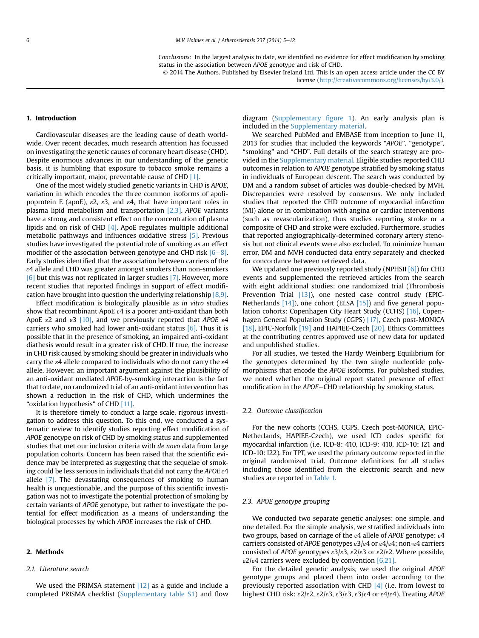Conclusions: In the largest analysis to date, we identified no evidence for effect modification by smoking status in the association between APOE genotype and risk of CHD.

© 2014 The Authors. Published by Elsevier Ireland Ltd. This is an open access article under the CC BY license [\(http://creativecommons.org/licenses/by/3.0/](http://creativecommons.org/licenses/by/3.0/)).

#### 1. Introduction

Cardiovascular diseases are the leading cause of death worldwide. Over recent decades, much research attention has focussed on investigating the genetic causes of coronary heart disease (CHD). Despite enormous advances in our understanding of the genetic basis, it is humbling that exposure to tobacco smoke remains a critically important, major, preventable cause of CHD [\[1\].](#page-6-0)

One of the most widely studied genetic variants in CHD is APOE, variation in which encodes the three common isoforms of apolipoprotein E (apoE),  $\epsilon$ 2,  $\epsilon$ 3, and  $\epsilon$ 4, that have important roles in plasma lipid metabolism and transportation [\[2,3\]](#page-6-0). APOE variants have a strong and consistent effect on the concentration of plasma lipids and on risk of CHD [\[4\]](#page-7-0). ApoE regulates multiple additional metabolic pathways and influences oxidative stress [\[5\]](#page-7-0). Previous studies have investigated the potential role of smoking as an effect modifier of the association between genotype and CHD risk  $[6-8]$  $[6-8]$ . Early studies identified that the association between carriers of the ε4 allele and CHD was greater amongst smokers than non-smokers [\[6\]](#page-7-0) but this was not replicated in larger studies [\[7\]](#page-7-0). However, more recent studies that reported findings in support of effect modification have brought into question the underlying relationship [\[8,9\].](#page-7-0)

Effect modification is biologically plausible as in vitro studies show that recombinant ApoE ε4 is a poorer anti-oxidant than both ApoE  $ε2$  and  $ε3$  [\[10\],](#page-7-0) and we previously reported that APOE  $ε4$ carriers who smoked had lower anti-oxidant status  $[6]$ . Thus it is possible that in the presence of smoking, an impaired anti-oxidant diathesis would result in a greater risk of CHD. If true, the increase in CHD risk caused by smoking should be greater in individuals who carry the ε4 allele compared to individuals who do not carry the ε4 allele. However, an important argument against the plausibility of an anti-oxidant mediated APOE-by-smoking interaction is the fact that to date, no randomized trial of an anti-oxidant intervention has shown a reduction in the risk of CHD, which undermines the "oxidation hypothesis" of CHD [\[11\].](#page-7-0)

It is therefore timely to conduct a large scale, rigorous investigation to address this question. To this end, we conducted a systematic review to identify studies reporting effect modification of APOE genotype on risk of CHD by smoking status and supplemented studies that met our inclusion criteria with de novo data from large population cohorts. Concern has been raised that the scientific evidence may be interpreted as suggesting that the sequelae of smoking could be less serious in individuals that did not carry the APOE ε4 allele [\[7\].](#page-7-0) The devastating consequences of smoking to human health is unquestionable, and the purpose of this scientific investigation was not to investigate the potential protection of smoking by certain variants of APOE genotype, but rather to investigate the potential for effect modification as a means of understanding the biological processes by which APOE increases the risk of CHD.

#### 2. Methods

#### 2.1. Literature search

We used the PRIMSA statement [\[12\]](#page-7-0) as a guide and include a completed PRISMA checklist (Supplementary table S1) and flow diagram (Supplementary figure 1). An early analysis plan is included in the Supplementary material.

We searched PubMed and EMBASE from inception to June 11, 2013 for studies that included the keywords "APOE", "genotype", "smoking" and "CHD". Full details of the search strategy are provided in the Supplementary material. Eligible studies reported CHD outcomes in relation to APOE genotype stratified by smoking status in individuals of European descent. The search was conducted by DM and a random subset of articles was double-checked by MVH. Discrepancies were resolved by consensus. We only included studies that reported the CHD outcome of myocardial infarction (MI) alone or in combination with angina or cardiac interventions (such as revascularization), thus studies reporting stroke or a composite of CHD and stroke were excluded. Furthermore, studies that reported angiographically-determined coronary artery stenosis but not clinical events were also excluded. To minimize human error, DM and MVH conducted data entry separately and checked for concordance between retrieved data.

We updated one previously reported study (NPHSII [\[6\]](#page-7-0)) for CHD events and supplemented the retrieved articles from the search with eight additional studies: one randomized trial (Thrombosis Prevention Trial [\[13\]](#page-7-0)), one nested case-control study (EPIC-Netherlands [\[14\]\)](#page-7-0), one cohort (ELSA [\[15\]](#page-7-0)) and five general population cohorts: Copenhagen City Heart Study (CCHS) [\[16\],](#page-7-0) Copenhagen General Population Study (CGPS) [\[17\]](#page-7-0), Czech post-MONICA [\[18\],](#page-7-0) EPIC-Norfolk [\[19\]](#page-7-0) and HAPIEE-Czech [\[20\].](#page-7-0) Ethics Committees at the contributing centres approved use of new data for updated and unpublished studies.

For all studies, we tested the Hardy Weinberg Equilibrium for the genotypes determined by the two single nucleotide polymorphisms that encode the APOE isoforms. For published studies, we noted whether the original report stated presence of effect modification in the APOE–CHD relationship by smoking status.

#### 2.2. Outcome classification

For the new cohorts (CCHS, CGPS, Czech post-MONICA, EPIC-Netherlands, HAPIEE-Czech), we used ICD codes specific for myocardial infarction (i.e. ICD-8: 410, ICD-9: 410, ICD-10: I21 and ICD-10: I22). For TPT, we used the primary outcome reported in the original randomized trial. Outcome definitions for all studies including those identified from the electronic search and new studies are reported in [Table 1.](#page-3-0)

#### 2.3. APOE genotype grouping

We conducted two separate genetic analyses: one simple, and one detailed. For the simple analysis, we stratified individuals into two groups, based on carriage of the  $\varepsilon$ 4 allele of APOE genotype:  $\varepsilon$ 4 carriers consisted of APOE genotypes  $\varepsilon 3/\varepsilon 4$  or  $\varepsilon 4/\varepsilon 4$ ; non- $\varepsilon 4$  carriers consisted of APOE genotypes  $\varepsilon 3/\varepsilon 3$ ,  $\varepsilon 2/\varepsilon 3$  or  $\varepsilon 2/\varepsilon 2$ . Where possible,  $\varepsilon$ 2/ $\varepsilon$ 4 carriers were excluded by convention [\[6,21\]](#page-7-0).

For the detailed genetic analysis, we used the original APOE genotype groups and placed them into order according to the previously reported association with CHD  $[4]$  (i.e. from lowest to highest CHD risk:  $\varepsilon 2/\varepsilon 2$ ,  $\varepsilon 2/\varepsilon 3$ ,  $\varepsilon 3/\varepsilon 3$ ,  $\varepsilon 3/\varepsilon 4$  or  $\varepsilon 4/\varepsilon 4$ ). Treating APOE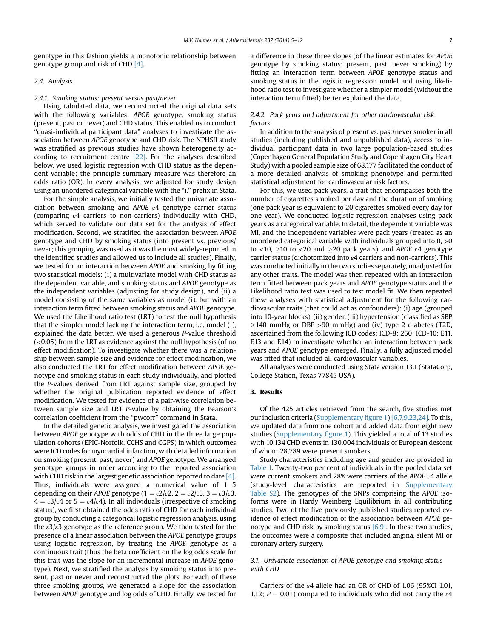genotype in this fashion yields a monotonic relationship between genotype group and risk of CHD [\[4\].](#page-7-0)

## 2.4. Analysis

#### 2.4.1. Smoking status: present versus past/never

Using tabulated data, we reconstructed the original data sets with the following variables: APOE genotype, smoking status (present, past or never) and CHD status. This enabled us to conduct "quasi-individual participant data" analyses to investigate the association between APOE genotype and CHD risk. The NPHSII study was stratified as previous studies have shown heterogeneity according to recruitment centre [\[22\]](#page-7-0). For the analyses described below, we used logistic regression with CHD status as the dependent variable; the principle summary measure was therefore an odds ratio (OR). In every analysis, we adjusted for study design using an unordered categorical variable with the "i." prefix in Stata.

For the simple analysis, we initially tested the univariate association between smoking and APOE ε4 genotype carrier status (comparing ε4 carriers to non-carriers) individually with CHD, which served to validate our data set for the analysis of effect modification. Second, we stratified the association between APOE genotype and CHD by smoking status (into present vs. previous/ never; this grouping was used as it was the most widely-reported in the identified studies and allowed us to include all studies). Finally, we tested for an interaction between APOE and smoking by fitting two statistical models: (i) a multivariate model with CHD status as the dependent variable, and smoking status and APOE genotype as the independent variables (adjusting for study design), and (ii) a model consisting of the same variables as model (i), but with an interaction term fitted between smoking status and APOE genotype. We used the Likelihood ratio test (LRT) to test the null hypothesis that the simpler model lacking the interaction term, i.e. model (i), explained the data better. We used a generous P-value threshold (<0.05) from the LRT as evidence against the null hypothesis (of no effect modification). To investigate whether there was a relationship between sample size and evidence for effect modification, we also conducted the LRT for effect modification between APOE genotype and smoking status in each study individually, and plotted the P-values derived from LRT against sample size, grouped by whether the original publication reported evidence of effect modification. We tested for evidence of a pair-wise correlation between sample size and LRT P-value by obtaining the Pearson's correlation coefficient from the "pwcorr" command in Stata.

In the detailed genetic analysis, we investigated the association between APOE genotype with odds of CHD in the three large population cohorts (EPIC-Norfolk, CCHS and CGPS) in which outcomes were ICD codes for myocardial infarction, with detailed information on smoking (present, past, never) and APOE genotype. We arranged genotype groups in order according to the reported association with CHD risk in the largest genetic association reported to date [\[4\].](#page-7-0) Thus, individuals were assigned a numerical value of  $1-5$ depending on their APOE genotype ( $1 = \varepsilon 2/\varepsilon 2$ ,  $2 = \varepsilon 2/\varepsilon 3$ ,  $3 = \varepsilon 3/\varepsilon 3$ ,  $4 = \epsilon^2/\epsilon^4$  or  $5 = \epsilon^4/\epsilon^4$ ). In all individuals (irrespective of smoking status), we first obtained the odds ratio of CHD for each individual group by conducting a categorical logistic regression analysis, using the  $\varepsilon$ 3/ $\varepsilon$ 3 genotype as the reference group. We then tested for the presence of a linear association between the APOE genotype groups using logistic regression, by treating the APOE genotype as a continuous trait (thus the beta coefficient on the log odds scale for this trait was the slope for an incremental increase in APOE genotype). Next, we stratified the analysis by smoking status into present, past or never and reconstructed the plots. For each of these three smoking groups, we generated a slope for the association between APOE genotype and log odds of CHD. Finally, we tested for a difference in these three slopes (of the linear estimates for APOE genotype by smoking status: present, past, never smoking) by fitting an interaction term between APOE genotype status and smoking status in the logistic regression model and using likelihood ratio test to investigate whether a simpler model (without the interaction term fitted) better explained the data.

## 2.4.2. Pack years and adjustment for other cardiovascular risk factors

In addition to the analysis of present vs. past/never smoker in all studies (including published and unpublished data), access to individual participant data in two large population-based studies (Copenhagen General Population Study and Copenhagen City Heart Study) with a pooled sample size of 68,177 facilitated the conduct of a more detailed analysis of smoking phenotype and permitted statistical adjustment for cardiovascular risk factors.

For this, we used pack years, a trait that encompasses both the number of cigarettes smoked per day and the duration of smoking (one pack year is equivalent to 20 cigarettes smoked every day for one year). We conducted logistic regression analyses using pack years as a categorical variable. In detail, the dependent variable was MI, and the independent variables were pack years (treated as an unordered categorical variable with individuals grouped into  $0, >0$ to <10,  $\geq$ 10 to <20 and  $\geq$ 20 pack years), and APOE  $\varepsilon$ 4 genotype carrier status (dichotomized into ε4 carriers and non-carriers). This was conducted initially in the two studies separately, unadjusted for any other traits. The model was then repeated with an interaction term fitted between pack years and APOE genotype status and the Likelihood ratio test was used to test model fit. We then repeated these analyses with statistical adjustment for the following cardiovascular traits (that could act as confounders): (i) age (grouped into 10-year blocks), (ii) gender, (iii) hypertension (classified as SBP  $\geq$ 140 mmHg or DBP  $>$ 90 mmHg) and (iv) type 2 diabetes (T2D, ascertained from the following ICD codes: ICD-8: 250; ICD-10: E11, E13 and E14) to investigate whether an interaction between pack years and APOE genotype emerged. Finally, a fully adjusted model was fitted that included all cardiovascular variables.

All analyses were conducted using Stata version 13.1 (StataCorp, College Station, Texas 77845 USA).

#### 3. Results

Of the 425 articles retrieved from the search, five studies met our inclusion criteria (Supplementary figure 1) [\[6,7,9,23,24\].](#page-7-0) To this, we updated data from one cohort and added data from eight new studies (Supplementary figure 1). This yielded a total of 13 studies with 10,134 CHD events in 130,004 individuals of European descent of whom 28,789 were present smokers.

Study characteristics including age and gender are provided in [Table 1.](#page-3-0) Twenty-two per cent of individuals in the pooled data set were current smokers and 28% were carriers of the APOE ε4 allele (study-level characteristics are reported in Supplementary Table S2). The genotypes of the SNPs comprising the APOE isoforms were in Hardy Weinberg Equilibrium in all contributing studies. Two of the five previously published studies reported evidence of effect modification of the association between APOE genotype and CHD risk by smoking status [\[6,9\]](#page-7-0). In these two studies, the outcomes were a composite that included angina, silent MI or coronary artery surgery.

#### 3.1. Univariate association of APOE genotype and smoking status with CHD

Carriers of the ε4 allele had an OR of CHD of 1.06 (95%CI 1.01, 1.12;  $P = 0.01$ ) compared to individuals who did not carry the  $\varepsilon 4$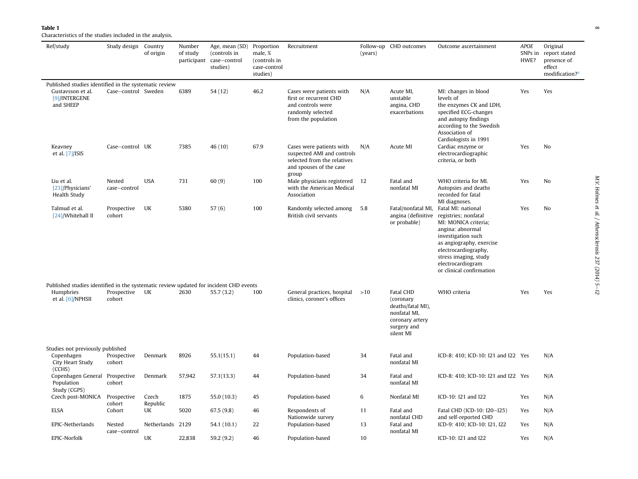<span id="page-3-0"></span>Characteristics of the studies included in the analysis.

| Ref/study                                                                                                                 | Study design Country     | of origin         | Number<br>of study | Age, mean (SD) Proportion<br>(controls in<br>participant case-control<br>studies) | male, %<br>(controls in<br>case-control<br>studies) | Recruitment                                                                                                               | (years)                         | Follow-up CHD outcomes                                                                                     | Outcome ascertainment                                                                                                                                                                                                                      | <b>APOE</b><br>HWE? | Original<br>SNPs in report stated<br>presence of<br>effect<br>modification? <sup>a</sup> |
|---------------------------------------------------------------------------------------------------------------------------|--------------------------|-------------------|--------------------|-----------------------------------------------------------------------------------|-----------------------------------------------------|---------------------------------------------------------------------------------------------------------------------------|---------------------------------|------------------------------------------------------------------------------------------------------------|--------------------------------------------------------------------------------------------------------------------------------------------------------------------------------------------------------------------------------------------|---------------------|------------------------------------------------------------------------------------------|
| Published studies identified in the systematic review<br>Gustavsson et al.<br>[9]/INTERGENE<br>and SHEEP                  | Case-control Sweden      |                   | 6389               | 54 (12)                                                                           | 46.2                                                | Cases were patients with<br>first or recurrent CHD<br>and controls were<br>randomly selected<br>from the population       | N/A                             | Acute MI,<br>unstable<br>angina, CHD<br>exacerbations                                                      | MI: changes in blood<br>levels of<br>the enzymes CK and LDH,<br>specified ECG-changes<br>and autopsy findings<br>according to the Swedish<br>Association of<br>Cardiologists in 1991                                                       | Yes                 | Yes                                                                                      |
| Keavney<br>et al. $[7]/$ ISIS                                                                                             | Case-control UK          |                   | 7385               | 46 (10)                                                                           | 67.9                                                | Cases were patients with<br>suspected AMI and controls<br>selected from the relatives<br>and spouses of the case<br>group | N/A                             | Acute MI                                                                                                   | Cardiac enzyme or<br>electrocardiographic<br>criteria, or both                                                                                                                                                                             | Yes                 | No                                                                                       |
| Liu et al.<br>[23]/Physicians'<br>Health Study                                                                            | Nested<br>case-control   | <b>USA</b>        | 731                | 60(9)                                                                             | 100                                                 | Male physicians registered 12<br>with the American Medical<br>Association                                                 |                                 | Fatal and<br>nonfatal MI                                                                                   | WHO criteria for MI.<br>Autopsies and deaths<br>recorded for fatal<br>MI diagnoses.                                                                                                                                                        | Yes                 | No                                                                                       |
| Talmud et al.<br>[24]/Whitehall II                                                                                        | Prospective<br>cohort    | UK                | 5380               | 57(6)                                                                             | 100                                                 | Randomly selected among<br>British civil servants                                                                         | 5.8                             | Fatal/nonfatal MI,<br>angina (definitive<br>or probable)                                                   | Fatal MI: national<br>registries; nonfatal<br>MI: MONICA criteria;<br>angina: abnormal<br>investigation such<br>as angiography, exercise<br>electrocardiography,<br>stress imaging, study<br>electrocardiogram<br>or clinical confirmation | Yes                 | No                                                                                       |
| Published studies identified in the systematic review updated for incident CHD events<br>Humphries<br>et al. $[6]/NPHSII$ | Prospective UK<br>cohort |                   | 2630               | 55.7(3.2)                                                                         | 100                                                 | General practices, hospital >10<br>clinics, coroner's offices                                                             |                                 | Fatal CHD<br>(coronary<br>deaths/fatal MI),<br>nonfatal MI,<br>coronary artery<br>surgery and<br>silent MI | WHO criteria                                                                                                                                                                                                                               | Yes                 | Yes                                                                                      |
| Studies not previously published<br>Copenhagen<br>City Heart Study<br>(CCHS)                                              | Prospective<br>cohort    | Denmark           | 8926               | 55.1(15.1)                                                                        | 44                                                  | Population-based                                                                                                          | 34                              | Fatal and<br>nonfatal MI                                                                                   | ICD-8: 410; ICD-10: I21 and I22 Yes                                                                                                                                                                                                        |                     | N/A                                                                                      |
| Copenhagen General Prospective<br>Population<br>Study (CGPS)                                                              | cohort                   | Denmark           | 57,942             | 57.1(13.3)                                                                        | 44                                                  | Population-based                                                                                                          | 34                              | Fatal and<br>nonfatal MI                                                                                   | ICD-8: 410; ICD-10: I21 and I22 Yes                                                                                                                                                                                                        |                     | N/A                                                                                      |
| Czech post-MONICA                                                                                                         | Prospective<br>cohort    | Czech<br>Republic | 1875               | 55.0 (10.3)                                                                       | 45                                                  | Population-based                                                                                                          | 6                               | Nonfatal MI                                                                                                | ICD-10: I21 and I22                                                                                                                                                                                                                        | Yes                 | N/A                                                                                      |
| <b>ELSA</b>                                                                                                               | Cohort                   | UK                | 5020               | 67.5(9.8)                                                                         | 46                                                  | Respondents of<br>Nationwide survey                                                                                       | Fatal and<br>11<br>nonfatal CHD | Fatal CHD (ICD-10: I20-I25)<br>and self-reported CHD                                                       | Yes                                                                                                                                                                                                                                        | N/A                 |                                                                                          |
| EPIC-Netherlands                                                                                                          | Nested<br>case-control   | Netherlands 2129  |                    | 54.1 (10.1)                                                                       | 22                                                  | Population-based                                                                                                          | 13                              | Fatal and<br>nonfatal MI                                                                                   | ICD-9: 410; ICD-10: I21, I22                                                                                                                                                                                                               | Yes                 | N/A                                                                                      |
| EPIC-Norfolk                                                                                                              |                          | UK                | 22,838             | 59.2 (9.2)                                                                        | 46                                                  | Population-based                                                                                                          | 10                              |                                                                                                            | ICD-10: I21 and I22                                                                                                                                                                                                                        | Yes                 | N/A                                                                                      |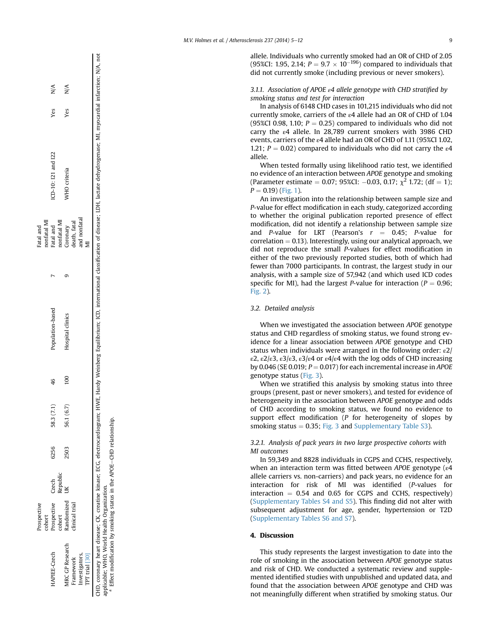<span id="page-4-0"></span>

|                                                                            | $\frac{1}{N}$            | $\frac{1}{2}$                                                    |     |
|----------------------------------------------------------------------------|--------------------------|------------------------------------------------------------------|-----|
|                                                                            | Yes                      | Yes                                                              |     |
|                                                                            | ICD-10: I21 and I22      |                                                                  |     |
|                                                                            |                          | WHO criteria                                                     |     |
| nonfatal MI<br>Fatal and                                                   | nonfatal MI<br>Fatal and | and nonfatal<br>Coronary<br>death, fatal<br>ΣÏ                   |     |
|                                                                            | ľ                        | G                                                                |     |
|                                                                            | Population-based         | Hospital clinics                                                 |     |
|                                                                            | 46                       | $\overline{5}$                                                   |     |
|                                                                            | 58.3 (7.1)               | (6.7)<br>56.1                                                    |     |
|                                                                            | 6256                     | 2503                                                             |     |
|                                                                            | Czech<br>Republic        | ŬК                                                               |     |
| Prospective<br>cohort<br>Prospective<br>cohort<br>Randomized<br>Randomized |                          |                                                                  |     |
|                                                                            | IAPIEE-Czech             | /IRC GP Research<br>Framework<br>ivestigators,<br>"PT trial [30] | i i |

N/A, not CHD, coronary heart disease; CK, creatine kinase; ECG, electrocardiogram; HWE, Hardy Weinberg Equilibrium; ICD, international classification of disease; LDH, lactate dehydrogenase; MI, myocardial infarction; N/A, not LDH, lactate dehydrogenase; MI, myocardial infarction; CHD, coronary heart disease; CK, creatine kinase; ECG, electrocardiogram; HWE, Hardy Weinberg Equilibrium; ICD, international classification of disease; i applicable; WHO, World Health Organization.<br><sup>a</sup> Effect modification by smoking status in the APOE–CHD relationship. applicable; WHO, World Health Organization.

 $^{\rm a}$  Effect modification by smoking status in the APOE–CHD relationship.

allele. Individuals who currently smoked had an OR of CHD of 2.05 (95%CI: 1.95, 2.14;  $P = 9.7 \times 10^{-196}$ ) compared to individuals that did not currently smoke (including previous or never smokers).

## 3.1.1. Association of APOE  $\varepsilon$ 4 allele genotype with CHD stratified by smoking status and test for interaction

In analysis of 6148 CHD cases in 101,215 individuals who did not currently smoke, carriers of the ε4 allele had an OR of CHD of 1.04 (95%CI 0.98, 1.10;  $P = 0.25$ ) compared to individuals who did not carry the  $\varepsilon$ 4 allele. In 28,789 current smokers with 3986 CHD events, carriers of the  $\varepsilon$ 4 allele had an OR of CHD of 1.11 (95%CI 1.02, 1.21;  $P = 0.02$ ) compared to individuals who did not carry the  $\varepsilon$ 4 allele.

When tested formally using likelihood ratio test, we identi fied no evidence of an interaction between APOE genotype and smoking (Parameter estimate = 0.07; 95%CI: -0.03, 0.17;  $\chi^2$  1.72; (df = 1);  $P = 0.19$ ) ([Fig. 1](#page-5-0)).

An investigation into the relationship between sample size and P-value for effect modi fication in each study, categorized according to whether the original publication reported presence of effect modi fication, did not identify a relationship between sample size and *P*-value for LRT (Pearson's  $r = 0.45$ ; *P*-value for correlation = 0.13). Interestingly, using our analytical approach, we did not reproduce the small P-values for effect modi fication in either of the two previously reported studies, both of which had fewer than 7000 participants. In contrast, the largest study in our analysis, with a sample size of 57,942 (and which used ICD codes specific for MI), had the largest *P*-value for interaction ( $P = 0.96$ ; [Fig. 2\)](#page-5-0).

#### 3.2. Detailed analysis

When we investigated the association between APOE genotype status and CHD regardless of smoking status, we found strong evidence for a linear association between APOE genotype and CHD status when individuals were arranged in the following order:  $\varepsilon 2/2$ ε2, ε2/ε3, ε3/ε3, ε3/ε4 or ε4/ε4 with the log odds of CHD increasing by  $0.046$  (SE  $0.019$ ;  $P = 0.017$ ) for each incremental increase in APOE genotype status ([Fig. 3](#page-6-0)).

When we stratified this analysis by smoking status into three groups (present, past or never smokers), and tested for evidence of heterogeneity in the association between APOE genotype and odds of CHD according to smoking status, we found no evidence to support effect modification (P for heterogeneity of slopes by smoking status  $= 0.35$ ; [Fig. 3](#page-6-0) and Supplementary Table S3).

## 3.2.1. Analysis of pack years in two large prospective cohorts with MI outcomes

In 59,349 and 8828 individuals in CGPS and CCHS, respectively, when an interaction term was fitted between APOE genotype ( $\varepsilon$ 4 allele carriers vs. non-carriers) and pack years, no evidence for an interaction for risk of MI was identi fied ( P-values for  $interaction = 0.54$  and 0.65 for CGPS and CCHS, respectively) (Supplementary Tables S4 and S5). This finding did not alter with subsequent adjustment for age, gender, hypertension or T2D (Supplementary Tables S6 and S7).

## 4. Discussion

This study represents the largest investigation to date into the role of smoking in the association between APOE genotype status and risk of CHD. We conducted a systematic review and supplemented identified studies with unpublished and updated data, and found that the association between APOE genotype and CHD was not meaningfully different when strati fied by smoking status. Our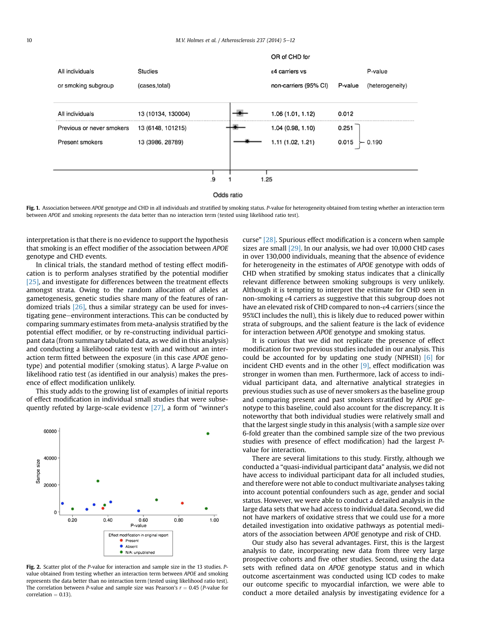<span id="page-5-0"></span>

Fig. 1. Association between APOE genotype and CHD in all individuals and stratified by smoking status. P-value for heterogeneity obtained from testing whether an interaction term between APOE and smoking represents the data better than no interaction term (tested using likelihood ratio test).

interpretation is that there is no evidence to support the hypothesis that smoking is an effect modifier of the association between APOE genotype and CHD events.

In clinical trials, the standard method of testing effect modification is to perform analyses stratified by the potential modifier [\[25\]](#page-7-0), and investigate for differences between the treatment effects amongst strata. Owing to the random allocation of alleles at gametogenesis, genetic studies share many of the features of randomized trials [\[26\],](#page-7-0) thus a similar strategy can be used for investigating gene-environment interactions. This can be conducted by comparing summary estimates from meta-analysis stratified by the potential effect modifier, or by re-constructing individual participant data (from summary tabulated data, as we did in this analysis) and conducting a likelihood ratio test with and without an interaction term fitted between the exposure (in this case APOE genotype) and potential modifier (smoking status). A large P-value on likelihood ratio test (as identified in our analysis) makes the presence of effect modification unlikely.

This study adds to the growing list of examples of initial reports of effect modification in individual small studies that were subsequently refuted by large-scale evidence [\[27\]](#page-7-0), a form of "winner's



Fig. 2. Scatter plot of the P-value for interaction and sample size in the 13 studies. Pvalue obtained from testing whether an interaction term between APOE and smoking represents the data better than no interaction term (tested using likelihood ratio test). The correlation between P-value and sample size was Pearson's  $r = 0.45$  (P-value for correlation  $= 0.13$ ).

curse" [\[28\].](#page-7-0) Spurious effect modification is a concern when sample sizes are small [\[29\]](#page-7-0). In our analysis, we had over 10,000 CHD cases in over 130,000 individuals, meaning that the absence of evidence for heterogeneity in the estimates of APOE genotype with odds of CHD when stratified by smoking status indicates that a clinically relevant difference between smoking subgroups is very unlikely. Although it is tempting to interpret the estimate for CHD seen in non-smoking ε4 carriers as suggestive that this subgroup does not have an elevated risk of CHD compared to non-ε4 carriers (since the 95%CI includes the null), this is likely due to reduced power within strata of subgroups, and the salient feature is the lack of evidence for interaction between APOE genotype and smoking status.

It is curious that we did not replicate the presence of effect modification for two previous studies included in our analysis. This could be accounted for by updating one study (NPHSII) [\[6\]](#page-7-0) for incident CHD events and in the other [\[9\]](#page-7-0), effect modification was stronger in women than men. Furthermore, lack of access to individual participant data, and alternative analytical strategies in previous studies such as use of never smokers as the baseline group and comparing present and past smokers stratified by APOE genotype to this baseline, could also account for the discrepancy. It is noteworthy that both individual studies were relatively small and that the largest single study in this analysis (with a sample size over 6-fold greater than the combined sample size of the two previous studies with presence of effect modification) had the largest Pvalue for interaction.

There are several limitations to this study. Firstly, although we conducted a "quasi-individual participant data" analysis, we did not have access to individual participant data for all included studies, and therefore were not able to conduct multivariate analyses taking into account potential confounders such as age, gender and social status. However, we were able to conduct a detailed analysis in the large data sets that we had access to individual data. Second, we did not have markers of oxidative stress that we could use for a more detailed investigation into oxidative pathways as potential mediators of the association between APOE genotype and risk of CHD.

Our study also has several advantages. First, this is the largest analysis to date, incorporating new data from three very large prospective cohorts and five other studies. Second, using the data sets with refined data on APOE genotype status and in which outcome ascertainment was conducted using ICD codes to make our outcome specific to myocardial infarction, we were able to conduct a more detailed analysis by investigating evidence for a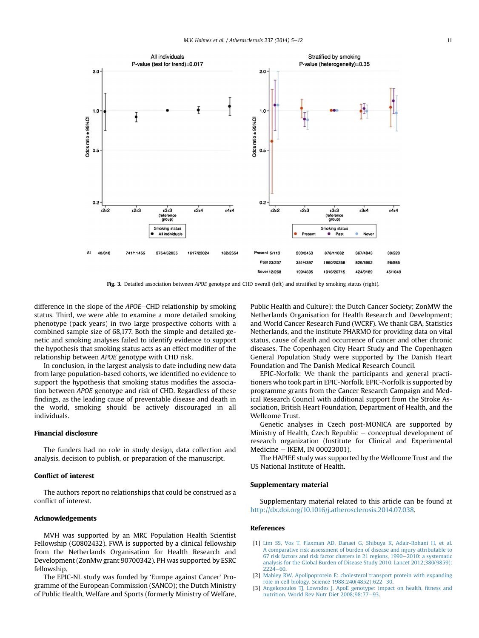<span id="page-6-0"></span>

Fig. 3. Detailed association between APOE genotype and CHD overall (left) and stratified by smoking status (right).

difference in the slope of the APOE–CHD relationship by smoking status. Third, we were able to examine a more detailed smoking phenotype (pack years) in two large prospective cohorts with a combined sample size of 68,177. Both the simple and detailed genetic and smoking analyses failed to identify evidence to support the hypothesis that smoking status acts as an effect modifier of the relationship between APOE genotype with CHD risk.

In conclusion, in the largest analysis to date including new data from large population-based cohorts, we identified no evidence to support the hypothesis that smoking status modifies the association between APOE genotype and risk of CHD. Regardless of these findings, as the leading cause of preventable disease and death in the world, smoking should be actively discouraged in all individuals.

## Financial disclosure

The funders had no role in study design, data collection and analysis, decision to publish, or preparation of the manuscript.

#### Conflict of interest

The authors report no relationships that could be construed as a conflict of interest.

#### Acknowledgements

MVH was supported by an MRC Population Health Scientist Fellowship (G0802432). FWA is supported by a clinical fellowship from the Netherlands Organisation for Health Research and Development (ZonMw grant 90700342). PH was supported by ESRC fellowship.

The EPIC-NL study was funded by 'Europe against Cancer' Programme of the European Commission (SANCO); the Dutch Ministry of Public Health, Welfare and Sports (formerly Ministry of Welfare, Public Health and Culture); the Dutch Cancer Society; ZonMW the Netherlands Organisation for Health Research and Development; and World Cancer Research Fund (WCRF). We thank GBA, Statistics Netherlands, and the institute PHARMO for providing data on vital status, cause of death and occurrence of cancer and other chronic diseases. The Copenhagen City Heart Study and The Copenhagen General Population Study were supported by The Danish Heart Foundation and The Danish Medical Research Council.

EPIC-Norfolk: We thank the participants and general practitioners who took part in EPIC-Norfolk. EPIC-Norfolk is supported by programme grants from the Cancer Research Campaign and Medical Research Council with additional support from the Stroke Association, British Heart Foundation, Department of Health, and the Wellcome Trust.

Genetic analyses in Czech post-MONICA are supported by Ministry of Health, Czech Republic  $-$  conceptual development of research organization (Institute for Clinical and Experimental Medicine - IKEM, IN 00023001).

The HAPIEE study was supported by the Wellcome Trust and the US National Institute of Health.

#### Supplementary material

Supplementary material related to this article can be found at [http://dx.doi.org/10.1016/j.atherosclerosis.2014.07.038.](http://dx.doi.org/10.1016/j.atherosclerosis.2014.07.038)

#### References

- [1] [Lim SS, Vos T, Flaxman AD, Danaei G, Shibuya K, Adair-Rohani H, et al.](http://refhub.elsevier.com/S0021-9150(14)01348-3/sref1) [A comparative risk assessment of burden of disease and injury attributable to](http://refhub.elsevier.com/S0021-9150(14)01348-3/sref1) [67 risk factors and risk factor clusters in 21 regions, 1990](http://refhub.elsevier.com/S0021-9150(14)01348-3/sref1)-[2010: a systematic](http://refhub.elsevier.com/S0021-9150(14)01348-3/sref1) [analysis for the Global Burden of Disease Study 2010. Lancet 2012;380\(9859\):](http://refhub.elsevier.com/S0021-9150(14)01348-3/sref1)  $2224 - 60$  $2224 - 60$  $2224 - 60$ .
- [2] [Mahley RW. Apolipoprotein E: cholesterol transport protein with expanding](http://refhub.elsevier.com/S0021-9150(14)01348-3/sref2) [role in cell biology. Science 1988;240\(4852\):622](http://refhub.elsevier.com/S0021-9150(14)01348-3/sref2)-[30](http://refhub.elsevier.com/S0021-9150(14)01348-3/sref2).
- [3] [Angelopoulos TJ, Lowndes J. ApoE genotype: impact on health,](http://refhub.elsevier.com/S0021-9150(14)01348-3/sref3) fitness and [nutrition. World Rev Nutr Diet 2008;98:77](http://refhub.elsevier.com/S0021-9150(14)01348-3/sref3)-[93](http://refhub.elsevier.com/S0021-9150(14)01348-3/sref3).